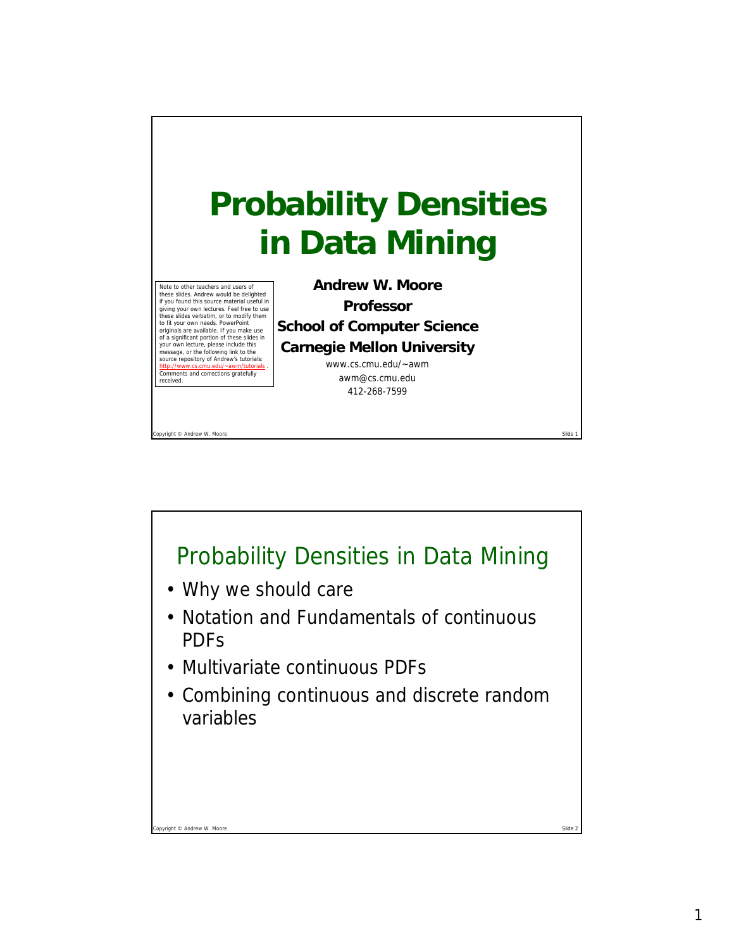

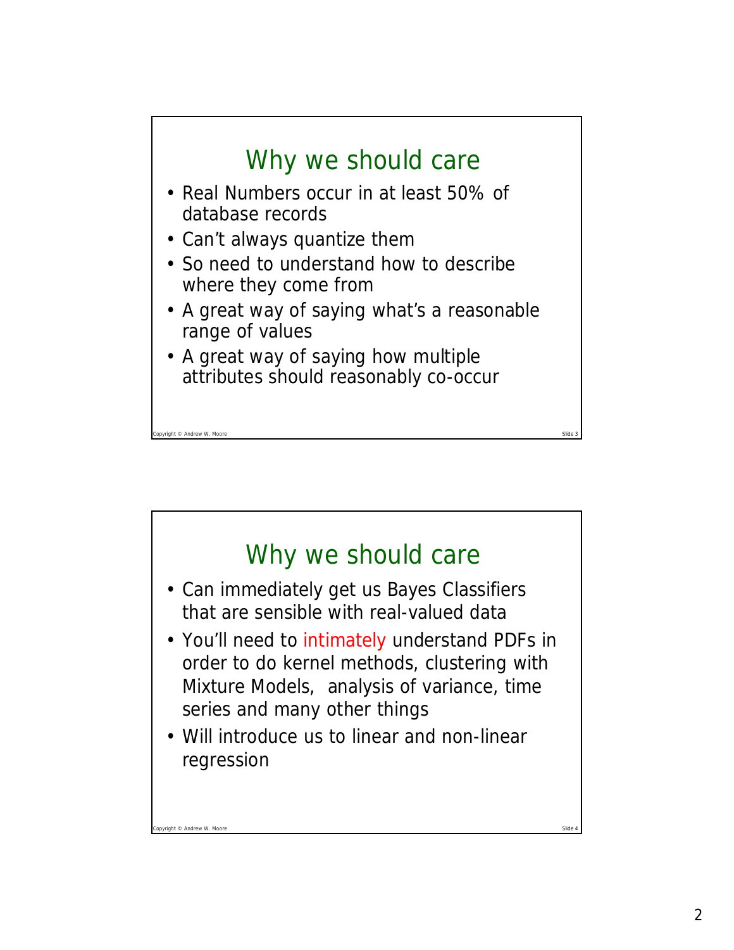

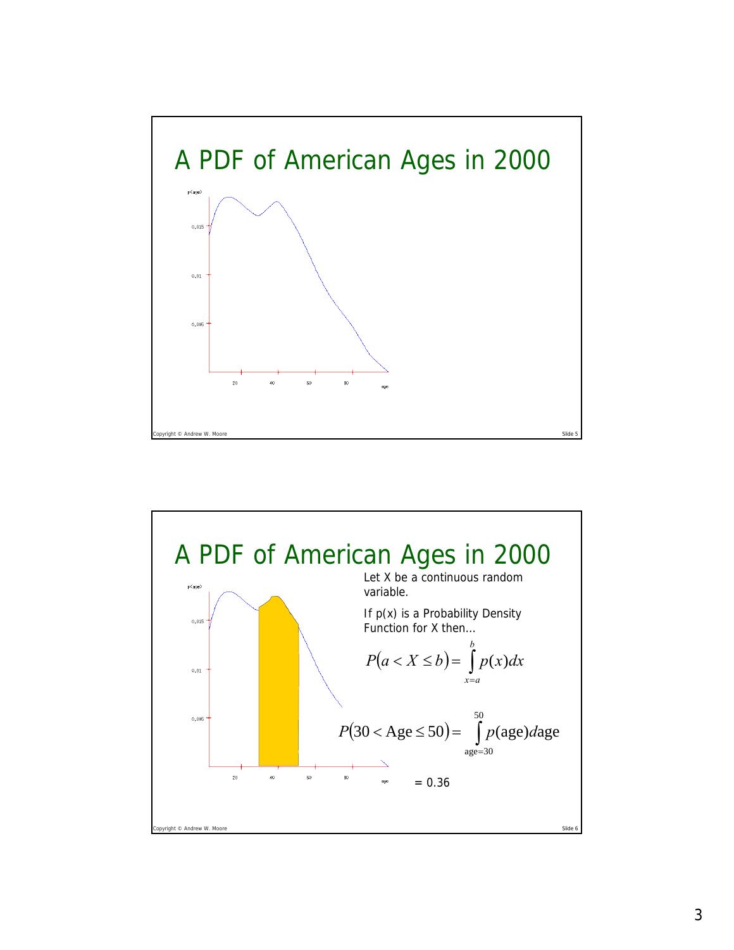

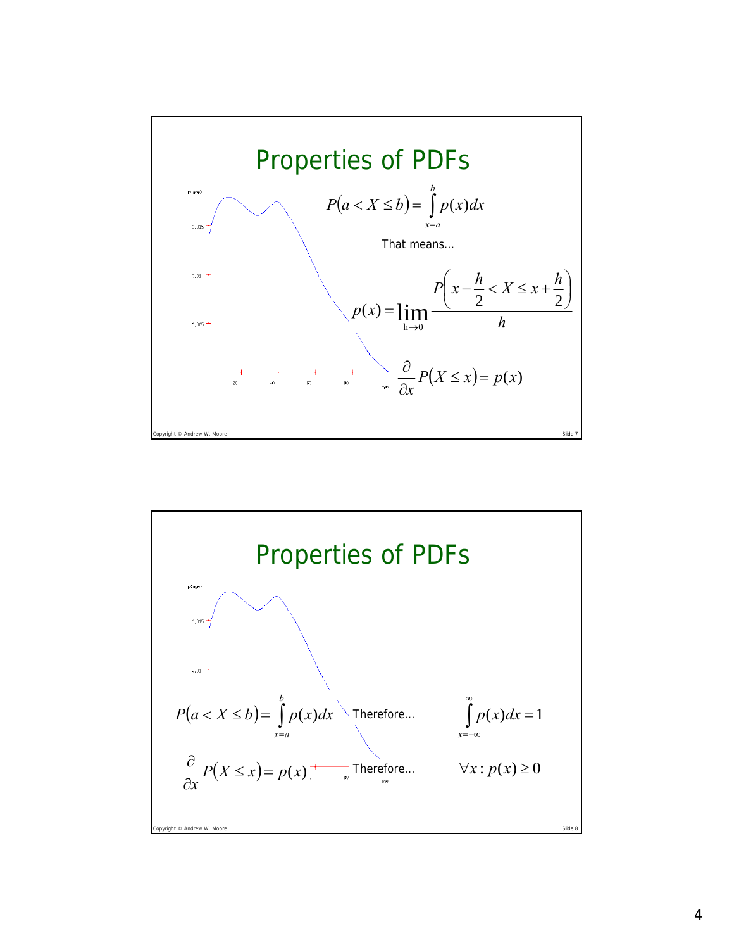

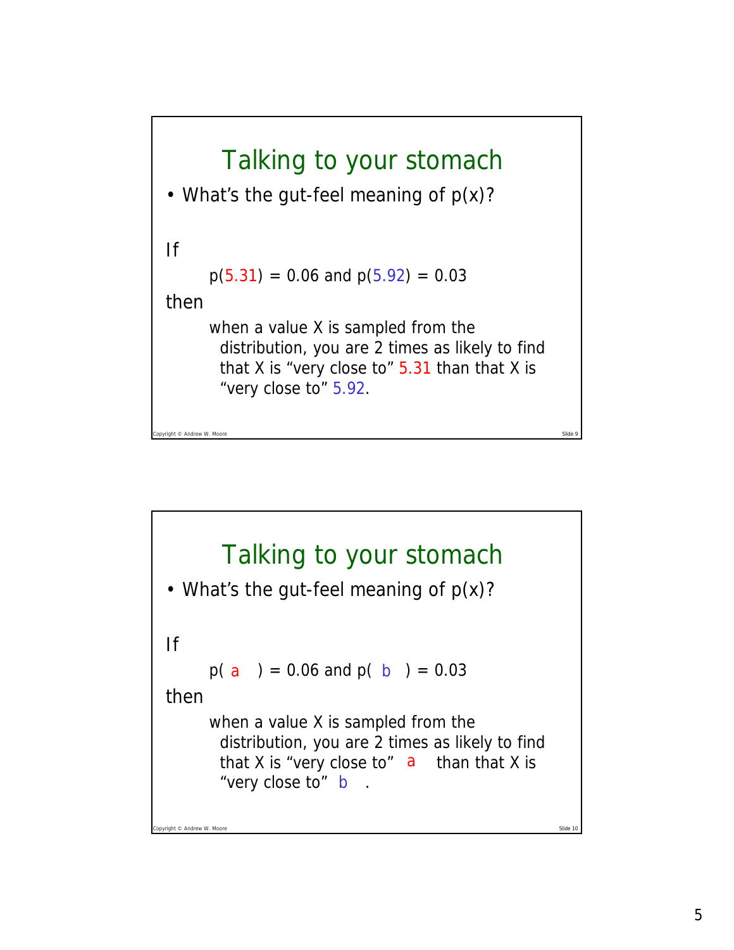

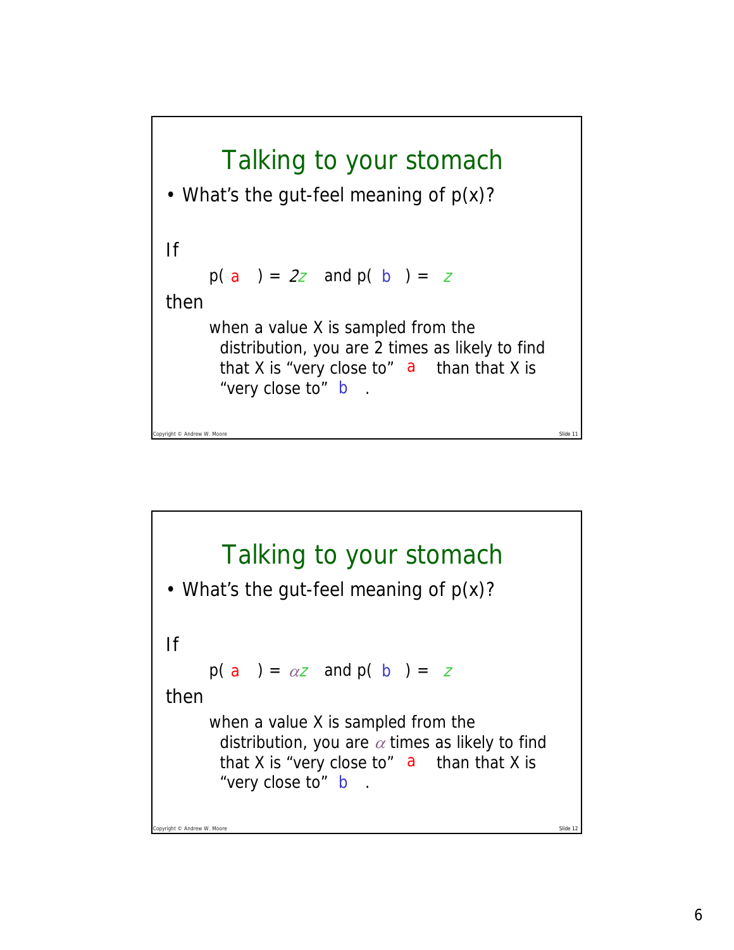

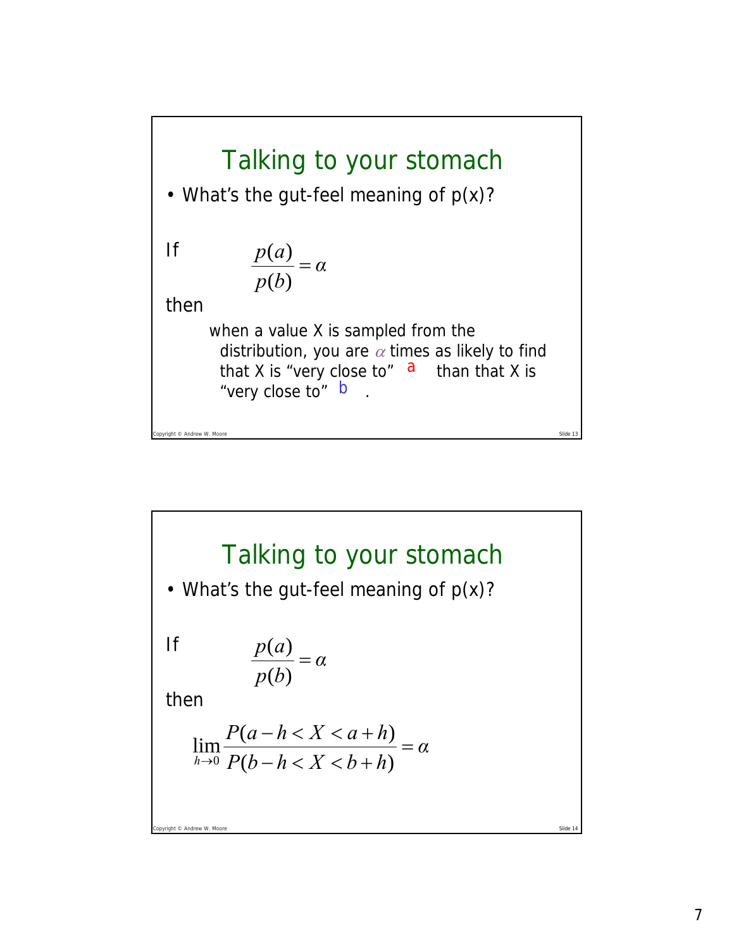

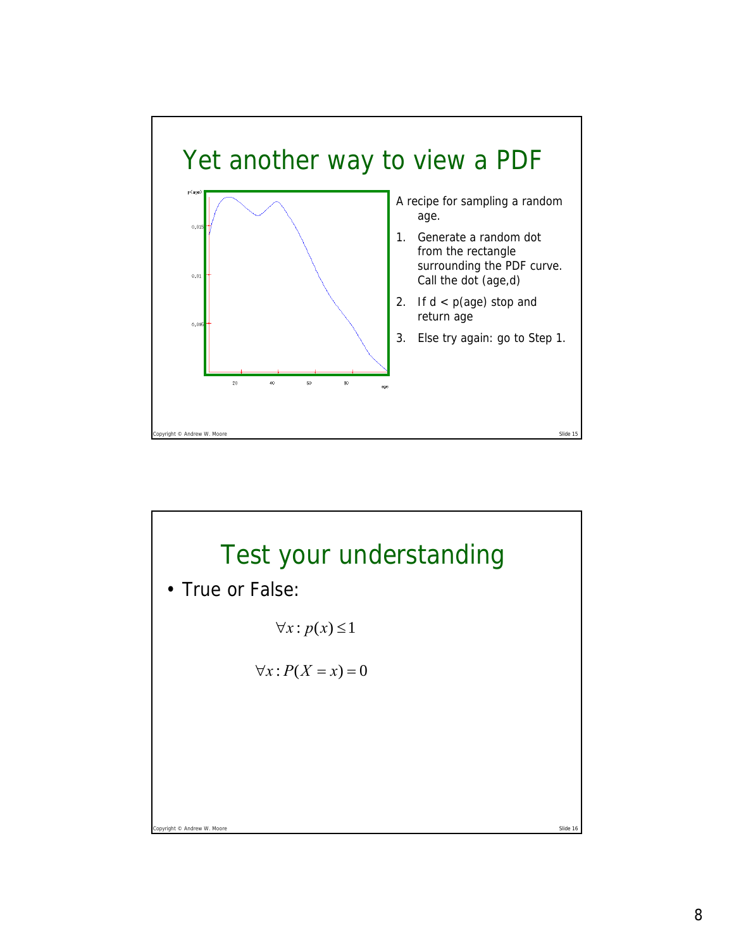

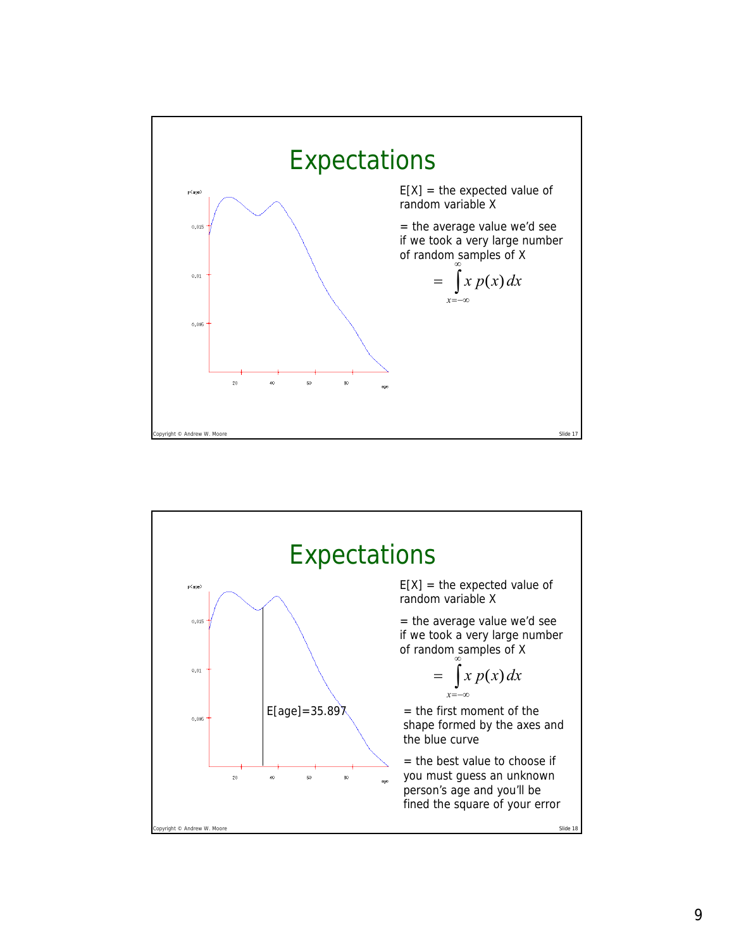

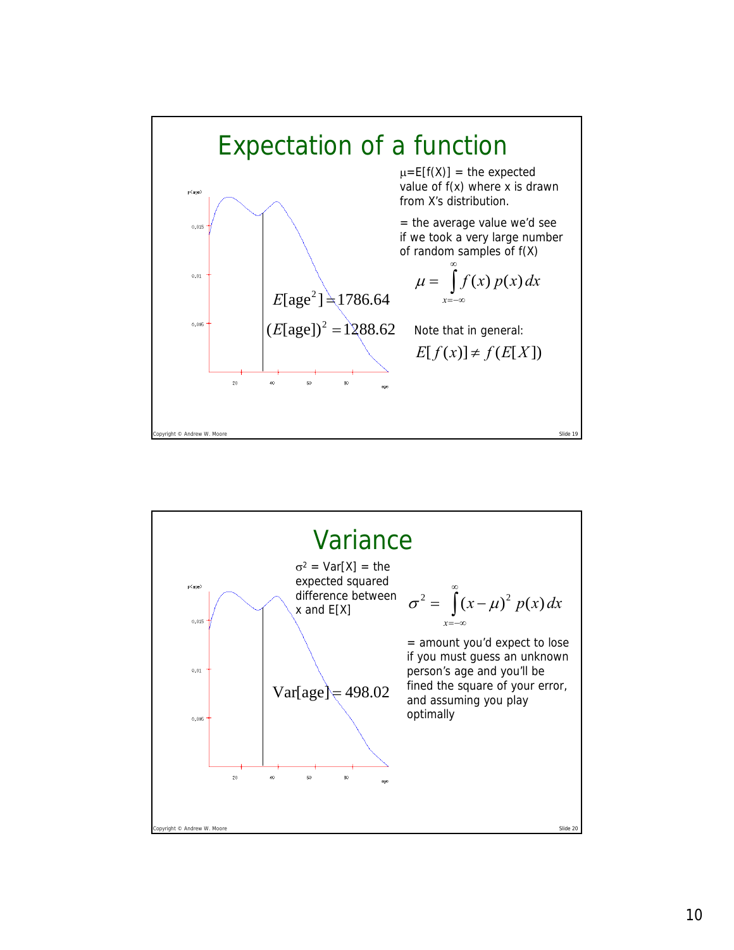

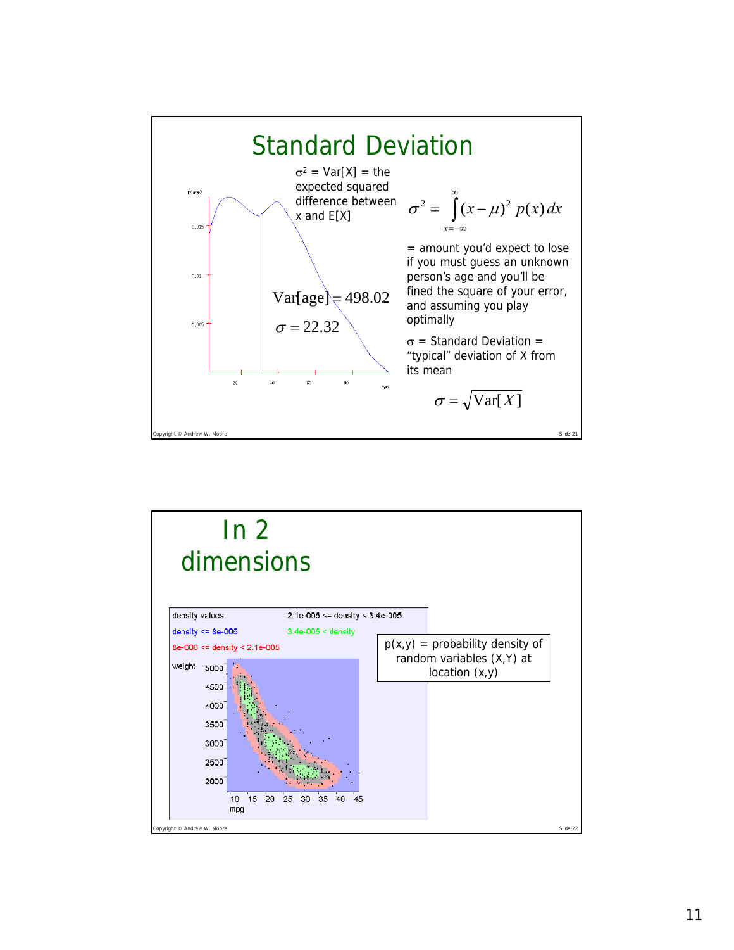

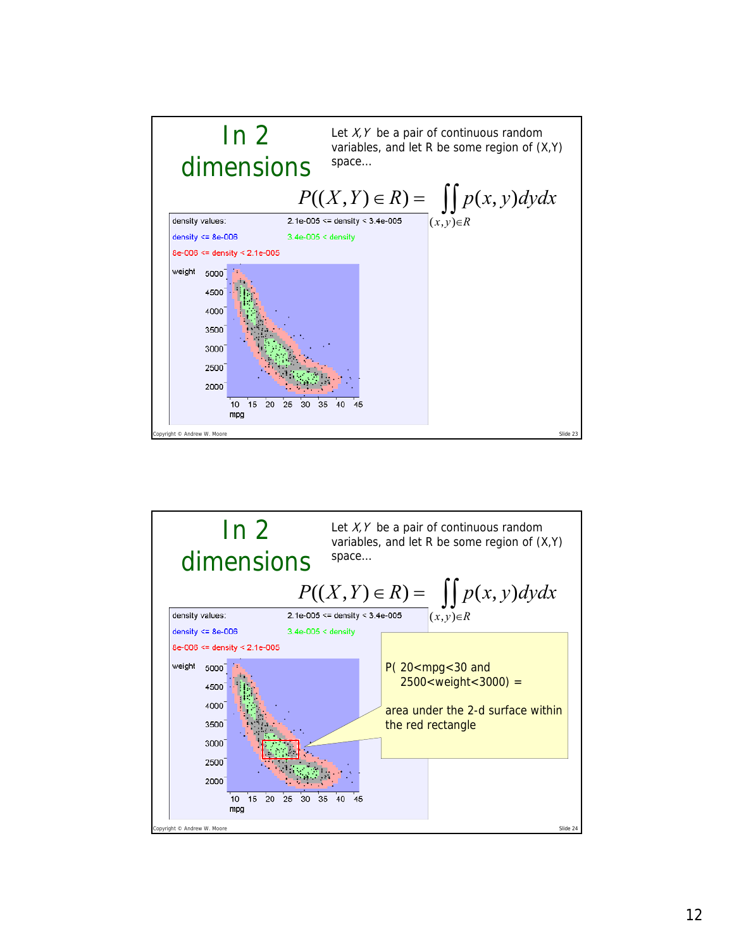

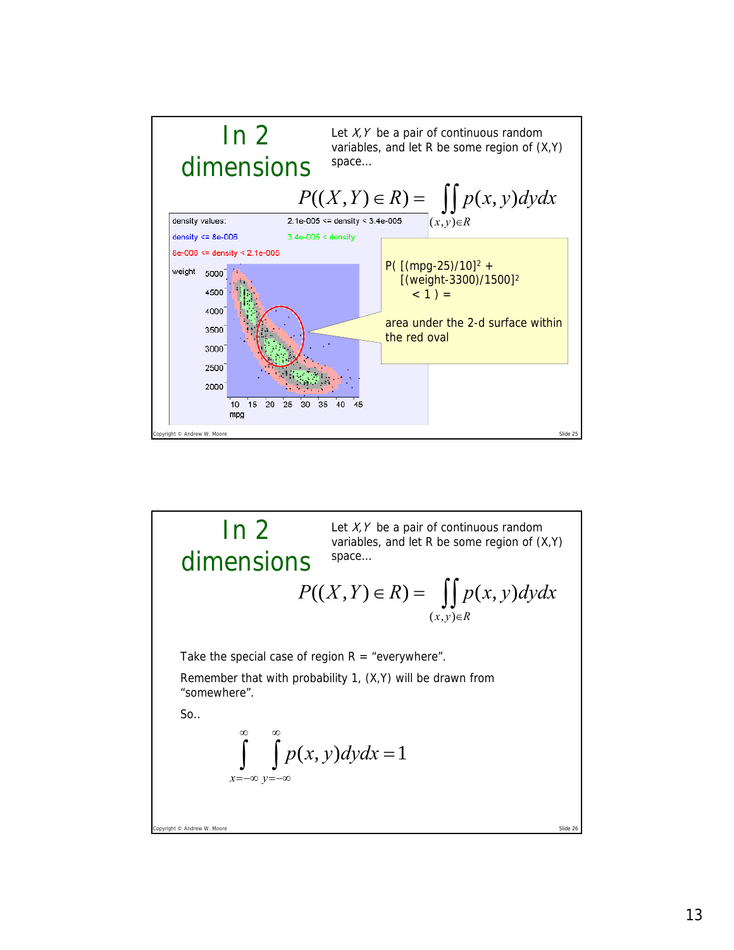

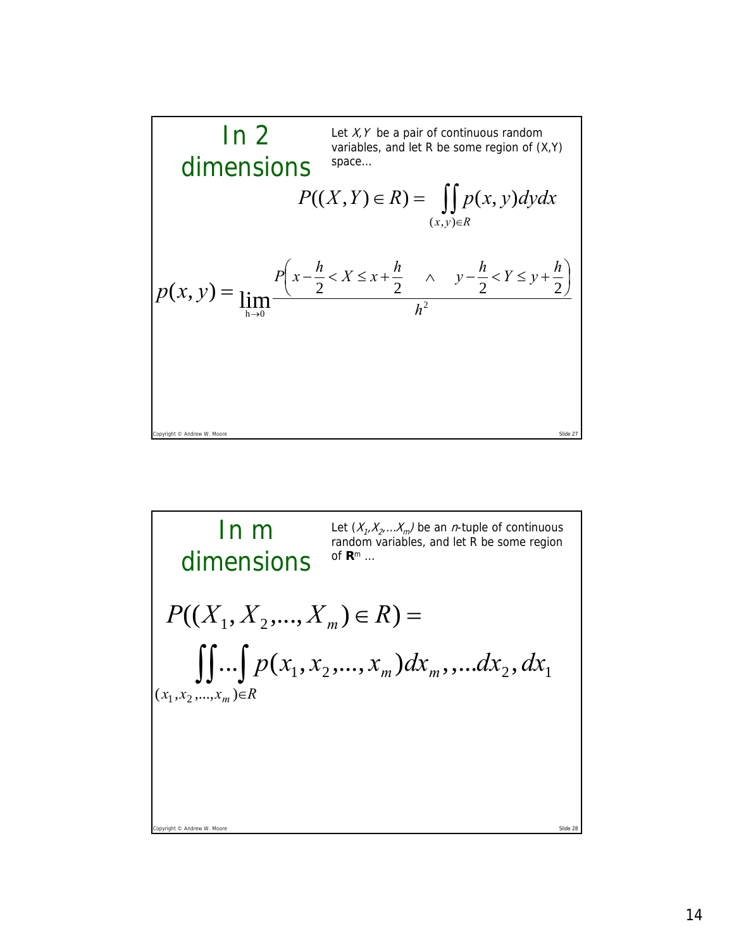

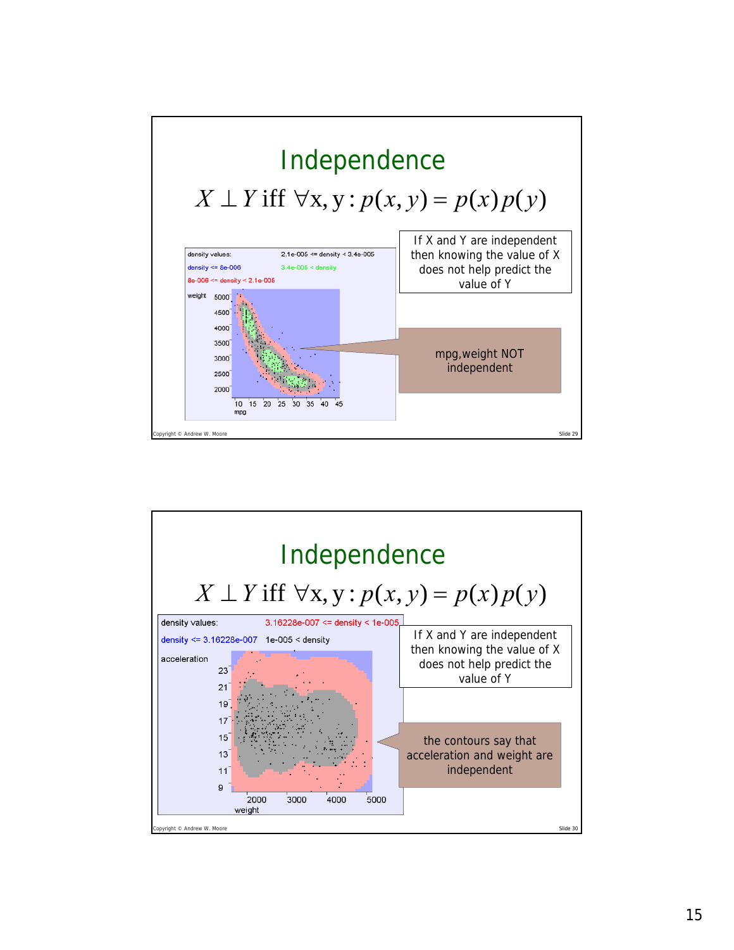

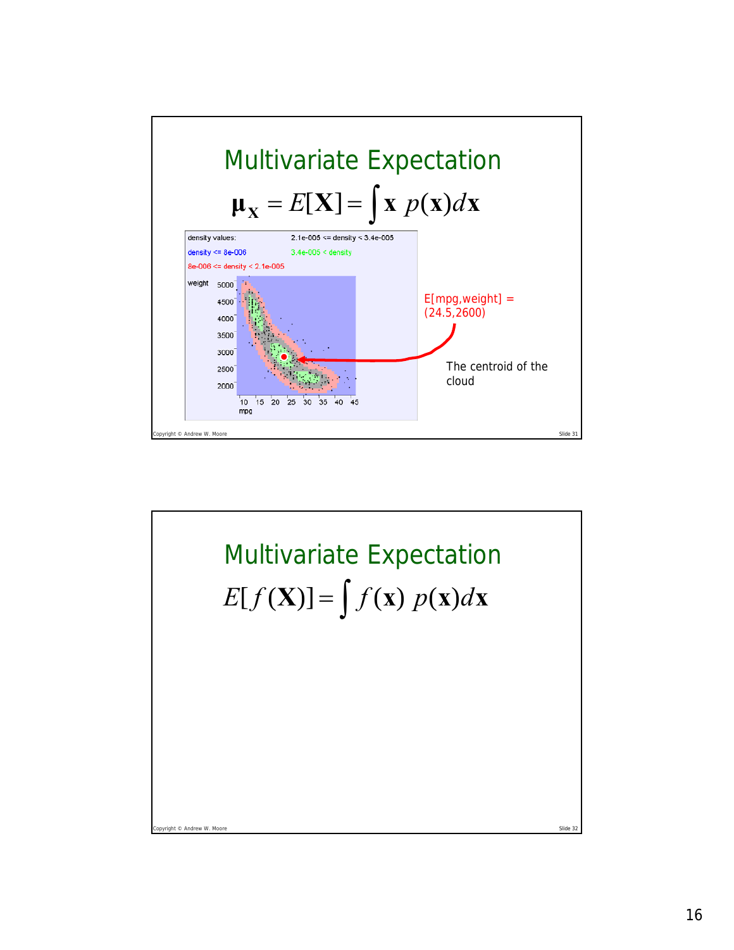

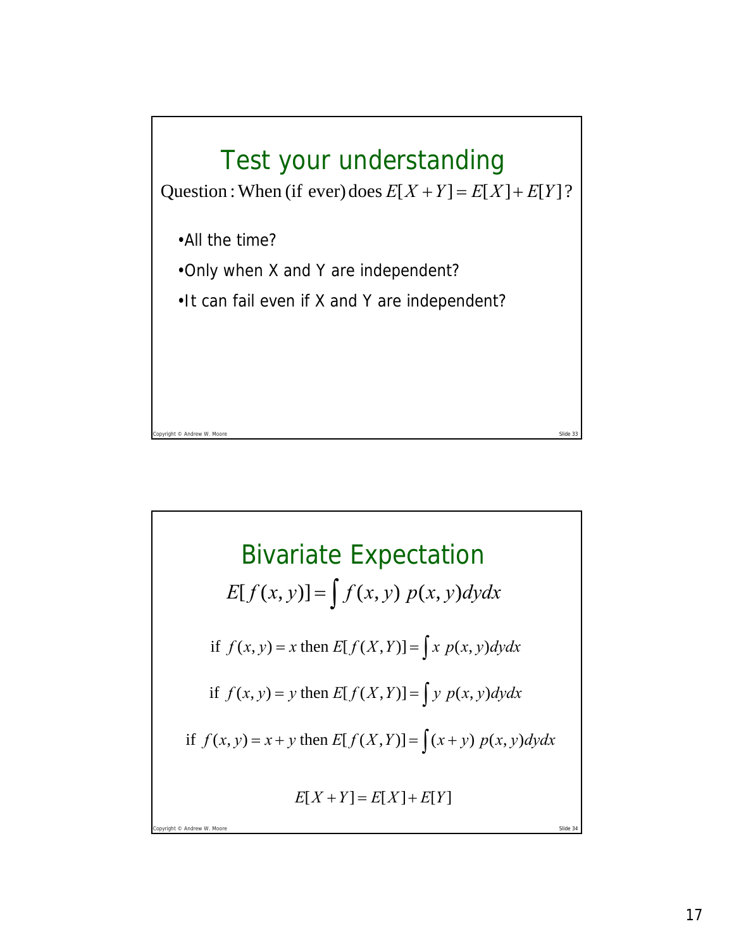

Copyright © Andrew W. Moore Slide 34 Bivariate Expectation if *f* (*x*, *y*) = *x* then *E*[*f* (*X*, *Y*)] =  $\int x p(x, y) dy dx$  $E[f(x, y)] = \int f(x, y) p(x, y) dy dx$ if *f* (*x*, *y*) = *y* then *E*[*f* (*X*, *Y*)] =  $\int y p(x, y) dy dx$ ∫ if *<sup>f</sup>* (*x*, *<sup>y</sup>*) <sup>=</sup> *<sup>x</sup>* <sup>+</sup> *<sup>y</sup>* then *E*[ *<sup>f</sup>* (*X*,*Y*)] <sup>=</sup> (*<sup>x</sup>* <sup>+</sup> *<sup>y</sup>*) *<sup>p</sup>*(*x*, *<sup>y</sup>*)*dydx*  $E[X + Y] = E[X] + E[Y]$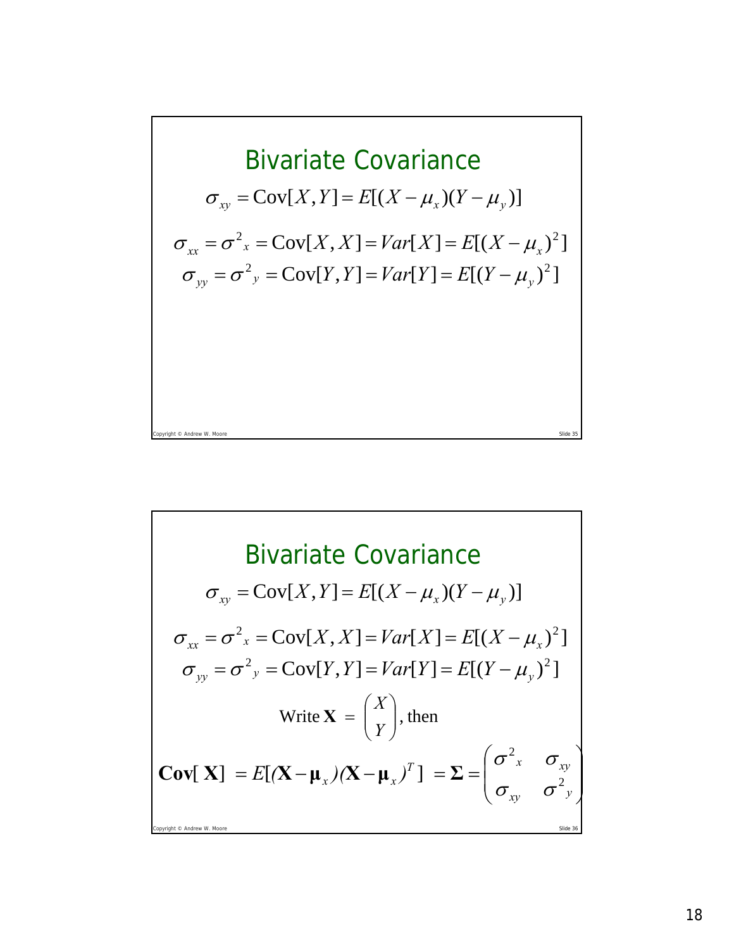

Bivariate Covariance  
\n
$$
\sigma_{xy} = \text{Cov}[X, Y] = E[(X - \mu_x)(Y - \mu_y)]
$$
\n
$$
\sigma_{xx} = \sigma^2_x = \text{Cov}[X, X] = Var[X] = E[(X - \mu_x)^2]
$$
\n
$$
\sigma_{yy} = \sigma^2_y = \text{Cov}[Y, Y] = Var[Y] = E[(Y - \mu_y)^2]
$$
\nWrite  $\mathbf{X} = \begin{pmatrix} X \\ Y \end{pmatrix}$ , then\n
$$
\text{Cov}[\mathbf{X}] = E[(\mathbf{X} - \mu_x)(\mathbf{X} - \mu_x)^T] = \Sigma = \begin{pmatrix} \sigma^2_x & \sigma_{xy} \\ \sigma_{xy} & \sigma^2_y \end{pmatrix}
$$
\n
$$
E[(\mathbf{X} - \mu_x)(\mathbf{X} - \mu_x)^T] = \Sigma = \begin{pmatrix} \sigma^2_x & \sigma_{xy} \\ \sigma_{xy} & \sigma^2_y \end{pmatrix}
$$
\n
$$
E[(\mathbf{X} - \mu_x)(\mathbf{X} - \mu_x)^T] = \Sigma = \begin{pmatrix} \sigma^2_x & \sigma_{xy} \\ \sigma_{xy} & \sigma^2_y \end{pmatrix}
$$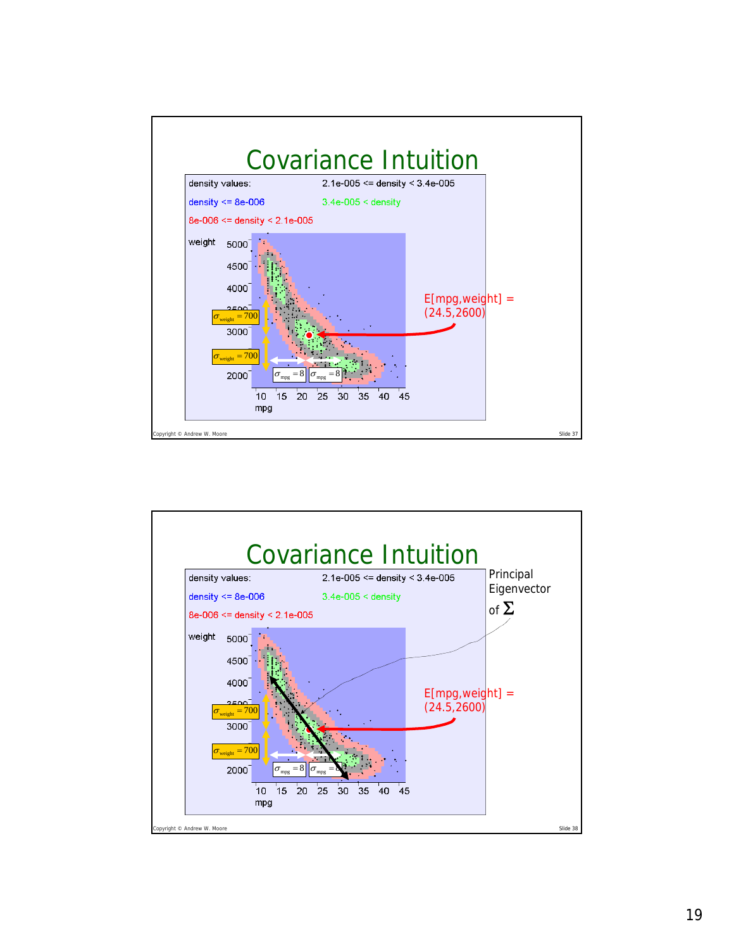

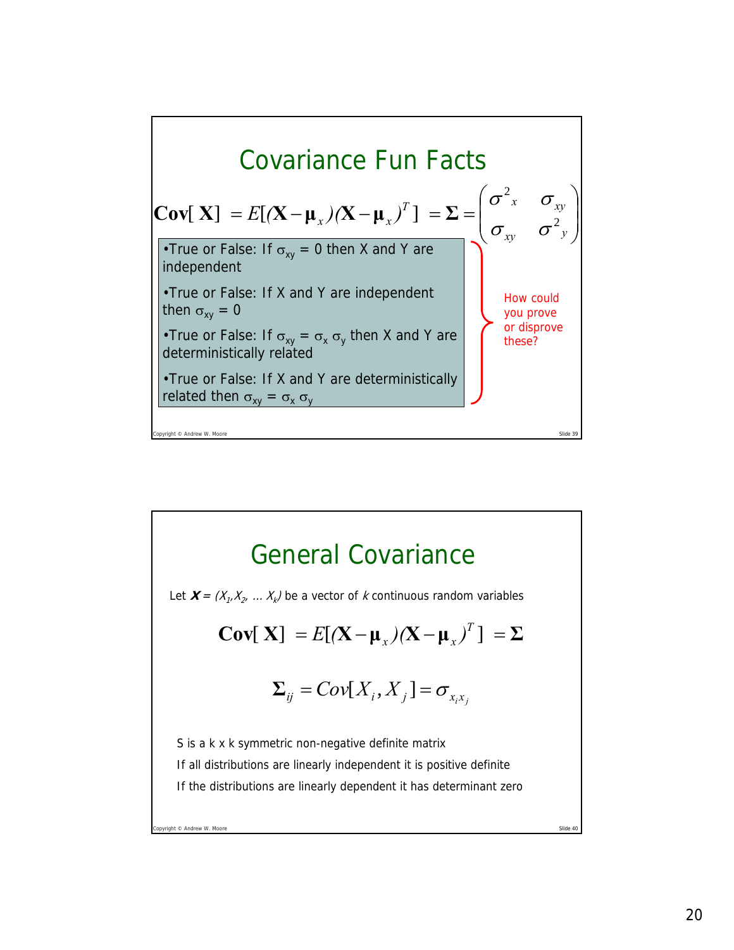

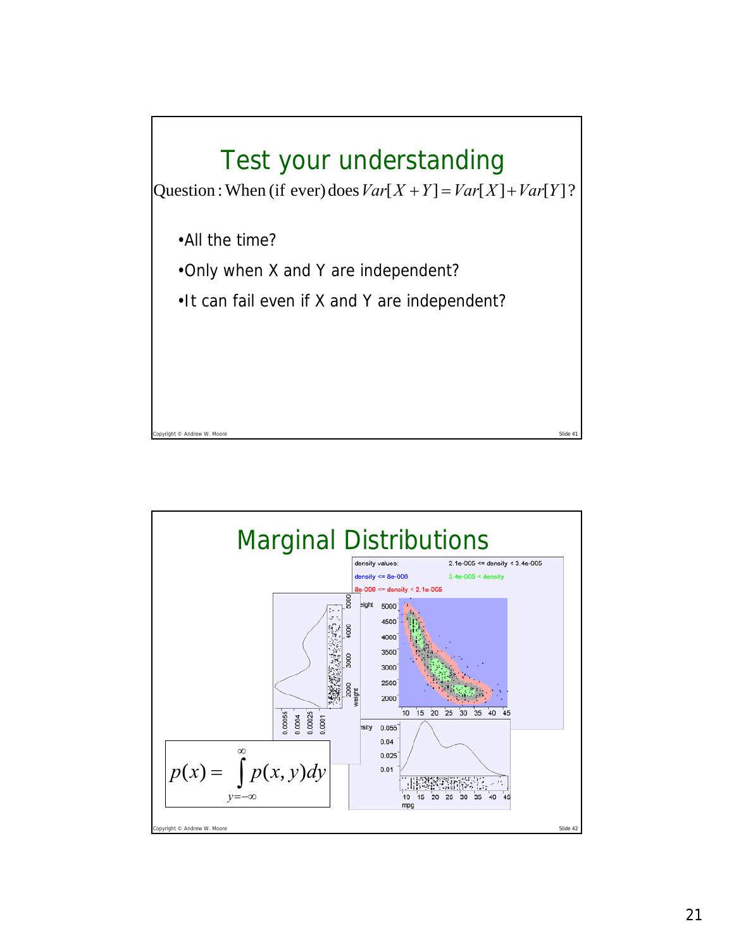

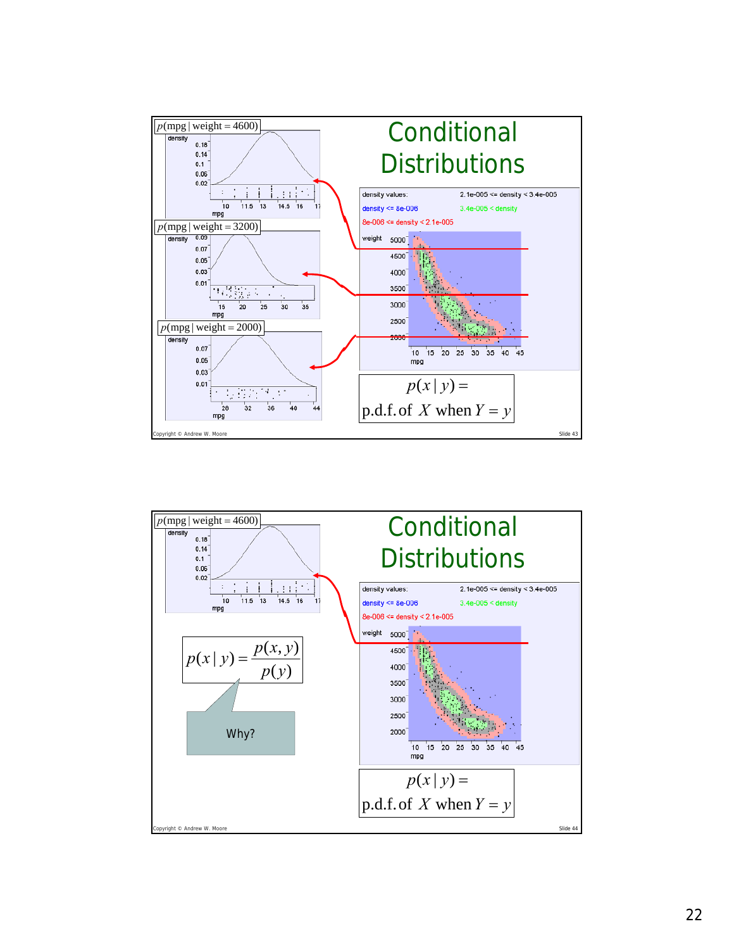

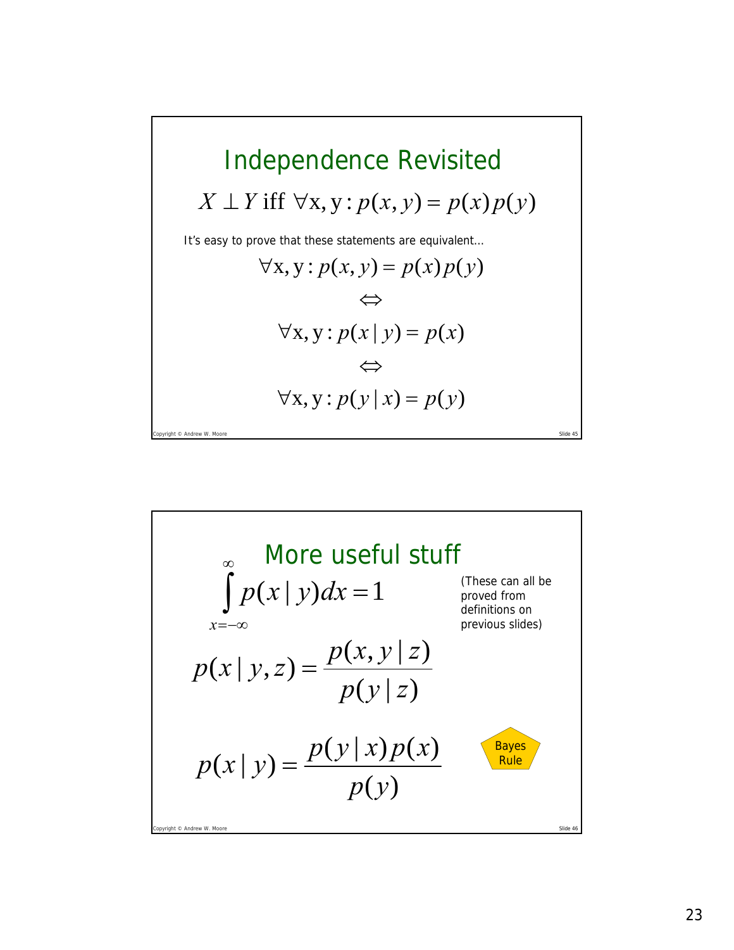

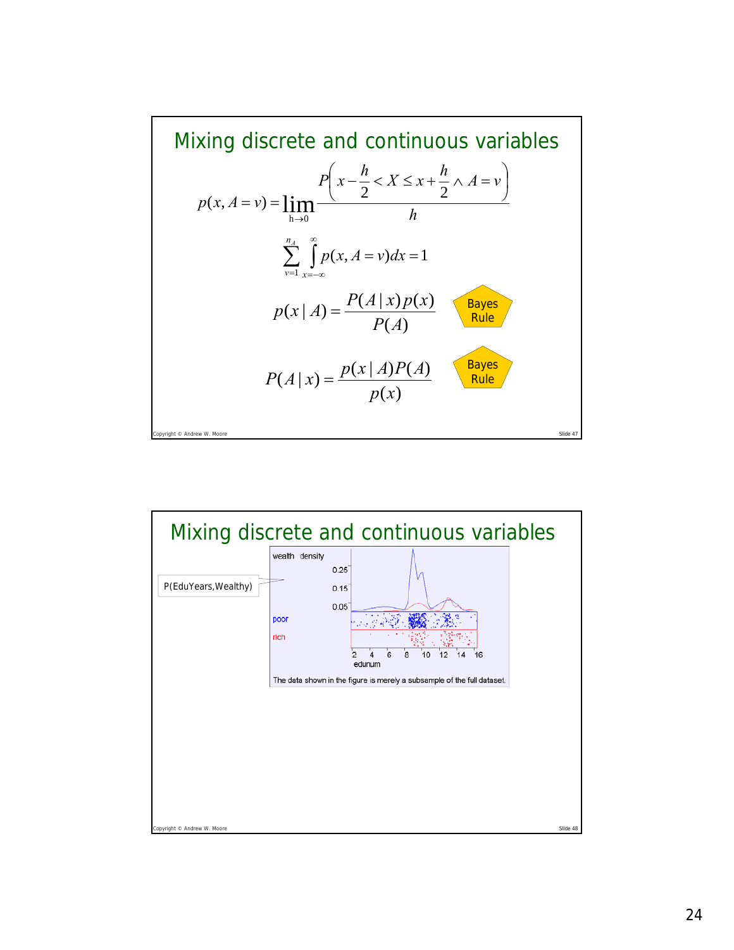

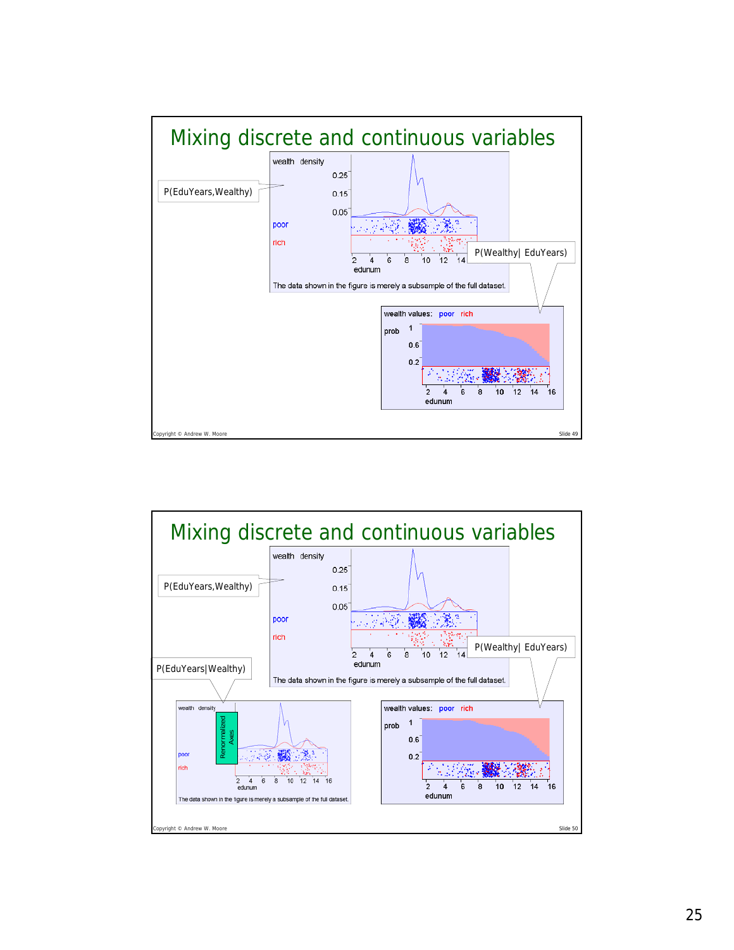